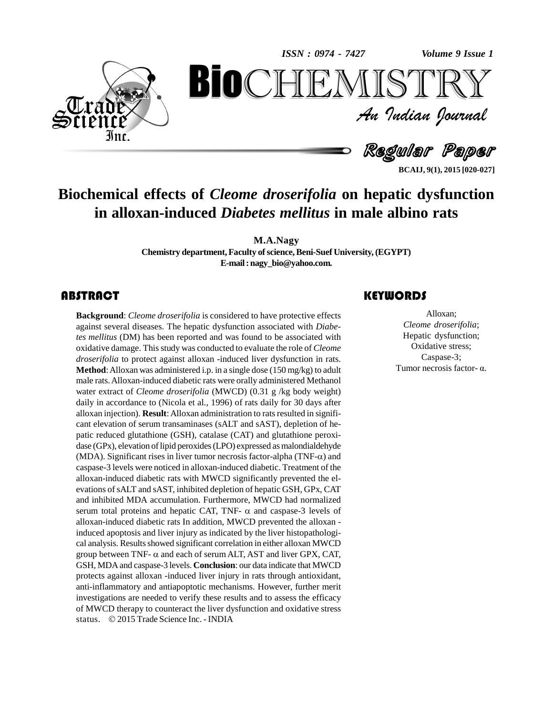*Volume 9 Issue 1*



An Indian Journal<br>Regular Paper *Volume 9 Issue 1*<br> $\begin{array}{c} \bigcirc \mathbb{T} \mathbb{R} \mathbb{Y} \ \mathcal{I} \end{array}$ **BioCHEMISTRY**<br>Au Indian Journal<br>Regular Paper<br>of Cleome droserifolia on hepatic dysfunction<br>uced Diabetes mellitus in male albino rats

**BCAIJ, 9(1), 2015 [020-027]**

### **Biochemical effects of** *Cleome droserifolia* **on hepatic dysfunction in alloxan-induced** *Diabetes mellitus* **in male albino rats**

**M.A.Nagy**

**Chemistry department,Faculty ofscience,Beni-Suef University,(EGYPT) E-mail:[nagy\\_bio@yahoo.com.](mailto:nagy_bio@yahoo.com.)**

**Background**: *Cleome droserifolia* is considered to have protective effects against several diseases. The hepatic dysfunction associated with *Diabetes mellitus* (DM) has been reported and was found to be associated with **Background**: *Cleome droserifolia* is considered to have protective effects against several diseases. The hepatic dysfunction associated with *Diabe*oxidative damage. Thisstudy was conducted to evaluate the role of *Cleome droserifolia* to protect against alloxan -induced liver dysfunction in rats. **Method**: Alloxan was administered i.p. in a single dose (150 mg/kg) to adult male rats.Alloxan-induced diabetic rats were orally administered Methanol water extract of *Cleome droserifolia* (MWCD) (0.31 g /kg body weight) daily in accordance to (Nicola et al., 1996) of rats daily for 30 days after alloxan injection). **Result**: Alloxan administration to rats resulted in significant elevation of serum transaminases (sALT and sAST), depletion of he patic reduced glutathione (GSH), catalase (CAT) and glutathione peroxi dase (GPx), elevation of lipid peroxides (LPO) expressed as malondialdehyde (MDA). Significant rises in liver tumor necrosis factor-alpha (TNF- $\alpha$ ) and caspase-3 levels were noticed in alloxan-induced diabetic. Treatment of the alloxan-induced diabetic rats with MWCD significantly prevented the el evations ofsALT and sAST, inhibited depletion of hepatic GSH, GPx, CAT and inhibited MDA accumulation. Furthermore, MWCD had normalized serum total proteins and hepatic CAT, TNF- $\alpha$  and caspase-3 levels of alloxan-induced diabetic rats In addition, MWCD prevented the alloxan induced apoptosis and liver injury as indicated by the liver histopathological analysis. Results showed significant correlation in either alloxan MWCD group between TNF-  $\alpha$  and each of serum ALT, AST and liver GPX, CAT, cal analysis. Results showed significant correlation in either alloxan MWCD GSH, MDA and caspase-3 levels. **Conclusion**: our data indicate that MWCD protects against alloxan -induced liver injury in rats through antioxidant, anti-inflammatory and antiapoptotic mechanisms. However, further merit investigations are needed to verify these results and to assess the efficacy<br>of MWCD therapy to counteract the liver dysfunction and oxidative stress<br>status. © 2015 Trade Science Inc. - INDIA of MWCD therapy to counteract the liver dysfunction and oxidative stress

### **KEYWORDS**

Alloxan;<br>Cleome droserifolia;<br>Hepatic dysfunction; Alloxan; *Cleome droserifolia*; Oxidative stress; Caspase-3; Tumor necrosis factor- $\alpha$ .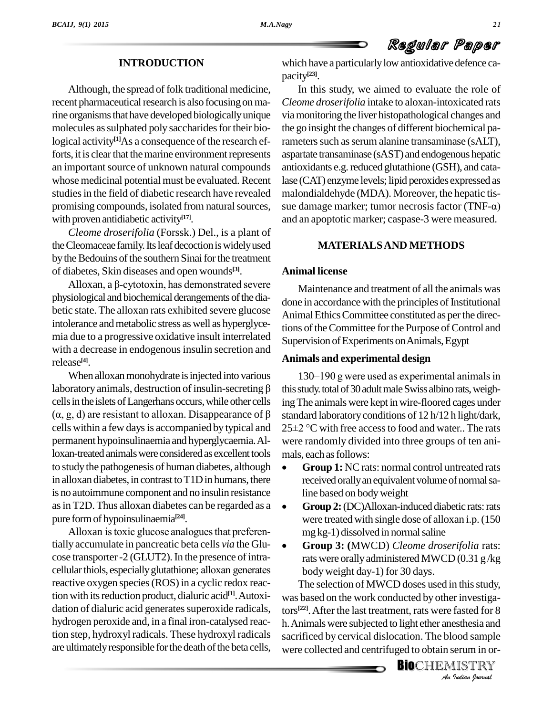#### **INTRODUCTION**

Although, the spread of folk traditional medicine, recent pharmaceutical research is also focusing on marine organisms that have developed biologically unique molecules as sulphated poly saccharides for their biological activity<sup>[1]</sup>As a consequence of the research ef- ram forts, it is clear that the marine environment represents an important source of unknown natural compounds whose medicinal potential must be evaluated. Recent studies in the field of diabetic research have revealed with proven antidiabetic activity **[17]**.

*Cleome droserifolia* (Forssk.) Del., is a plant of the Cleomaceae family. Its leaf decoction is widely used by the Bedouins of the southern Sinai for the treatment<br>of diabetes, Skin diseases and open wounds<sup>[3]</sup>. Anim<br>Alloxan, a  $\beta$ -cytotoxin, has demonstrated severe of diabetes, Skin diseases and open wounds **[3]**.

physiological and biochemical derangements of the diabetic state. The alloxan rats exhibited severe glucose intolerance and metabolic stress as well as hyperglycemia due to a progressive oxidative insult interrelated with a decrease in endogenous insulin secretion and release **[4]**.

When alloxan monohydrate is injected into various release<sup>[4]</sup>. **Anima**<br>When alloxan monohydrate is injected into various  $\frac{130}{130}$ cells in the islets of Langerhans occurs, while other cells laboratory animals, destruction of insulin-secreting  $\beta$  this studells in the islets of Langerhans occurs, while other cells ing The  $(\alpha, g, d)$  are resistant to alloxan. Disappearance of  $\beta$  standar cells within a few days is accompanied by typical and  $25\pm2$  °C with free access to food and water. The rats permanent hypoinsulinaemia and hyperglycaemia.Alloxan-treated animals were considered as excellent tools mals, each as follows: to study the pathogenesis of human diabetes, although  $\bullet$ in alloxan diabetes, in contrast to  $T1D$  in humans, there is no autoimmune component and no insulin resistance line based on body weight asin T2D.Thus alloxan diabetes can be regarded as a pure formof hypoinsulinaemia **[24]**.

Alloxan is toxic glucose analogues that preferentially accumulate in pancreatic beta cells *via* the Glu cose transporter -2 (GLUT2). In the presence of intracellular thiols, especially glutathione; alloxan generates reactive oxygen species (ROS) in a cyclic redox reaction with its reduction product, dialuric acid<sup>[1]</sup>. Autoxi- was dation of dialuric acid generates superoxide radicals, hydrogen peroxide and, in a final iron-catalysed reaction step, hydroxyl radicals. These hydroxyl radicals are ultimately responsible for the death of the beta cells,

which have a particularly low antioxidative defence capacity **[23]**.

promising compounds, isolated from natural sources, sue damage marker; tumor necrosis factor (TNF- $\alpha$ ) In this study, we aimed to evaluate the role of *Cleome droserifolia* intake to aloxan-intoxicated rats viamonitoring the liver histopathological changes and the go insight the changes of different biochemical parameters such as serum alanine transaminase (sALT), aspartate transaminase (sAST) and endogenous hepatic antioxidants e.g. reduced glutathione (GSH), and catalase (CAT) enzyme levels; lipid peroxides expressed as<br>malondialdehyde (MDA). Moreover, the hepatic tis-<br>sue damage marker; tumor necrosis factor (TNF- $\alpha$ ) malondialdehyde (MDA). Moreover, the hepatic tis and an apoptotic marker; caspase-3 were measured.

#### **MATERIALSAND METHODS**

#### **Animal license**

Maintenance and treatment of all the animals was done in accordance with the principles of Institutional Animal Ethics Committee constituted as per the directions of the Committee for the Purpose of Control and Supervision of Experiments on Animals, Egypt

#### **Animals and experimental design**

 $130-190$  g were used as experimental animals in this study. total of 30 adult male Swiss albino rats, weighing The animals were kept in wire-floored cages under<br>standard laboratory conditions of 12 h/12 h light/dark,<br>25±2 °C with free access to food and water.. The rats standard laboratory conditions of 12 h/12 h light/dark, were randomly divided into three groups of ten ani- mals, each asfollows:

- **Group 1:** NCrats: normal control untreated rats received orallyanequivalent volume ofnormalsa-line based on bodyweight
- **Group 2:**(DC)Alloxan-induced diabetic rats:rats were treated with single dose of alloxan i.p.(150 mg kg-1) dissolved in normalsaline
- **Group 3: (**MWCD) *Cleome droserifolia* rats: rats were orallyadministered MWCD (0.31 g /kg body weight day-1) for 30 days.

was based on the work conducted by other investiga-*I* investigated for 8<br>**Indian** and<br>**INDITRY**<br>Indian bournal The selection of MWCD doses used in this study, tors **[22]**.After the last treatment, rats were fasted for 8 h.Animalswere subjected to light ether anesthesia and sacrificed by cervical dislocation. The blood sample were collected and centrifuged to obtain serum in or-

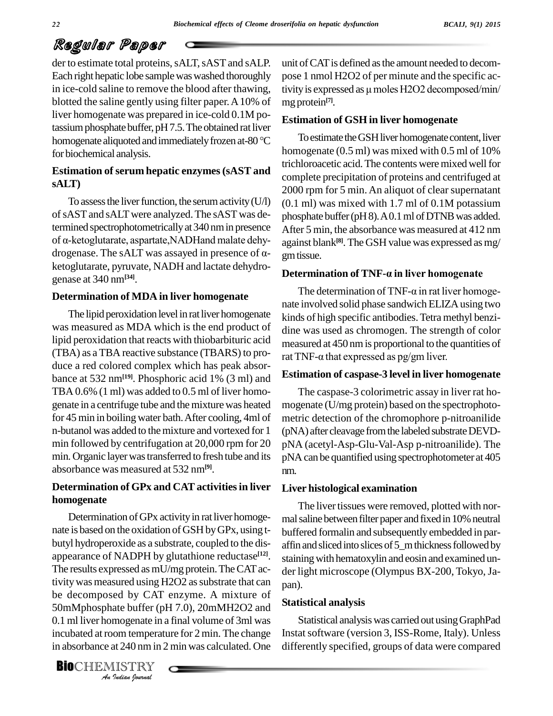der to estimate total proteins, sALT, sAST and sALP. Each right hepatic lobe samplewaswashed thoroughly in ice-cold saline to remove the blood after thawing, blotted the saline gently using filter paper.A10% of liver homogenate was prepared in ice-cold 0.1M potassium phosphate buffer, pH 7.5. The obtained rat liver liver homogenate was prepared in ice-cold 0.1M po-<br>tassium phosphate buffer, pH 7.5. The obtained rat liver<br>homogenate aliquoted and immediately frozen at-80 °C To esti for biochemical analysis.

#### **Estimation ofserum hepatic enzymes(sAST and sALT)**

To assess the liver function, the serum activity  $(U/I)$ of sAST and sALT were analyzed. The sAST was determined spectrophotometrically at 340 nm in presence After of sAST and sALT were analyzed. The sAST was de-<br>termined spectrophotometrically at 340 nm in presence After<br>of α-ketoglutarate, aspartate, NADHand malate dehytermined spectrophotometrically at 340 nm in presence<br>of  $\alpha$ -ketoglutarate, aspartate, NADHand malate dehy-<br>drogenase. The sALT was assayed in presence of  $\alpha$ ketoglutarate, pyruvate, NADH and lactate dehydrogenase at 340 nm**[34]**.

#### **Determination of MDA in liver homogenate**

The lipid peroxidation level in rat liver homogenate was measured as MDA which is the end product of lipid peroxidation that reacts with thiobarbituric acid (TBA) as a TBA reactive substance (TBARS) to pro-<br>rat TNF- $\alpha$  that expressed as pg/gm liver. duce a red colored complex which has peak absor bance at 532 nm**[19]**. Phosphoric acid 1% (3 ml) and TBA  $0.6\%$  (1 ml) was added to  $0.5$  ml of liver homogenate in a centrifuge tube and themixture was heated for 45 min in boiling water bath.After cooling, 4ml of n-butanol was added to the mixture and vortexed for 1 min followed by centrifugation at 20,000 rpm for 20 min. Organic layer was transferred to fresh tube and its absorbance was measured at 532 nm**[9]**.

#### **Determination of GPx and CATactivitiesin liver homogenate**

50mMphosphate buffer (pH 7.0), 20mMH2O2 and<br>**Analysis** *Indian Indian*<br>*Indian Indian*<br>*IISTRY*<br>*Indian hournal* Determination of GPx activity in rat liver homogenate is based on the oxidation of GSH byGPx, using t butyl hydroperoxide as a substrate, coupled to the dis appearance of NADPH by glutathione reductase<sup>[12]</sup>. sta The results expressed as mU/mg protein. The CAT activity was measured using H2O2 as substrate that can be decomposed by CAT enzyme. A mixture of 0.1 ml liver homogenate in a final volume of 3ml was incubated at room temperature for 2 min. The change in absorbance at 240 nm in 2 min was calculated. One

unit ofCATis defined asthe amount needed to decom pose 1 nmol H2O2 of per minute and the specific activity is expressed as  $\mu$  moles H2O2 decomposed/min/ mg protein **[7]**.

#### **Estimation of GSH in liver homogenate**

To estimate the GSH liver homogenate content, liver homogenate (0.5 ml) was mixed with 0.5 ml of 10% trichloroacetic acid. The contents were mixed well for complete precipitation of proteins and centrifuged at 2000 rpm for 5 min. An aliquot of clear supernatant (0.1 ml) was mixed with 1.7 ml of 0.1M potassium phosphate buffer (pH8). A0.1 ml of DTNB was added. After 5 min, the absorbance was measured at 412 nm against blank **[8]**. The GSH value was expressed asmg/ gmtissue.

#### **Determination of TNF-· in liver homogenate**

The determination of TNF- $\alpha$  in rat liver homogenate involved solid phase sandwich ELIZAusing two kinds of high specific antibodies.Tetra methyl benzi dine was used as chromogen. The strength of color<br>measured at 450 nm is proportional to the quantities of<br>rat TNF-α that expressed as pg/gm liver. measured at 450 nmis proportional to the quantities of

#### **Estimation of caspase-3 level in liver homogenate**

The caspase-3 colorimetric assay in liver rat ho mogenate (U/mg protein) based on the spectrophoto metric detection of the chromophore p-nitroanilide (pNA) after cleavage from the labeled substrate DEVDpNA (acetyl-Asp-Glu-Val-Asp p-nitroanilide). The pNAcan be quantified using spectrophotometer at 405 nm.

#### **Liver histological examination**

The liver tissues were removed, plotted with normal saline between filter paper and fixed in 10% neutral buffered formalin and subsequently embedded in par affin and sliced into slices of 5\_m thickness followed by staining with hematoxylin and eosin and examined under light microscope (Olympus BX-200, Tokyo, Japan).

#### **Statistical analysis**

Statistical analysiswas carried out usingGraphPad Instatsoftware (version 3, ISS-Rome, Italy). Unless differently specified, groups of data were compared

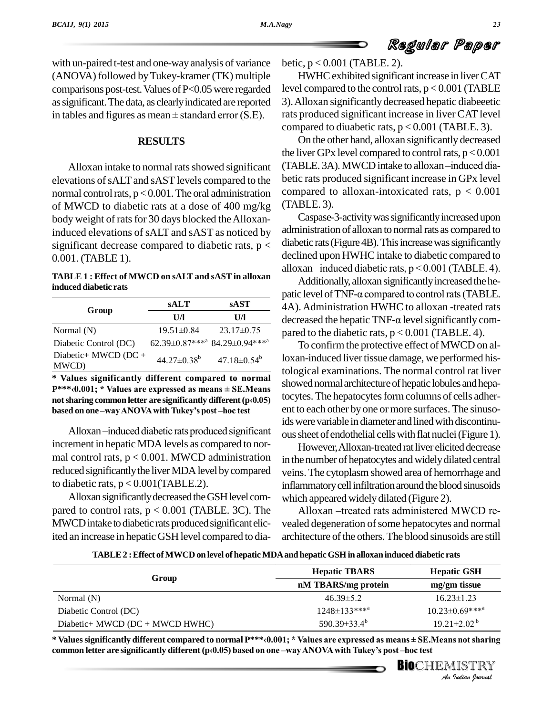with un-paired t-test and one-wayanalysis of variance (ANOVA) followed byTukey-kramer (TK) multiple comparisons post-test. Values of P<0.05 were regarded level cost as significant. The data, as clearly indicated are reported 3). All<br>in tables and figures as mean  $\pm$  standard error (S.E). rats pro assignificant.The data, as clearlyindicated are reported

#### **RESULTS**

Alloxan intake to normal rats showed significant elevations ofsALTand sAST levels compared to the normal control rats,  $p < 0.001$ . The oral administration of MWCD to diabetic rats at a dose of 400 mg/kg body weight of rats for 30 days blocked the Alloxaninduced elevations of sALT and sAST as noticed by significant decrease compared to diabetic rats,  $p <$ 0.001. (TABLE 1).

#### **TABLE 1 : Effect of MWCD onsALT and sASTin alloxan induced diabetic rats**

|                               | <b>sALT</b>                   | <b>sAST</b>                                           |
|-------------------------------|-------------------------------|-------------------------------------------------------|
| Group                         | UЛ                            | UЛ                                                    |
| Normal $(N)$                  | $19.51 \pm 0.84$              | $23.17\pm0.75$                                        |
| Diabetic Control (DC)         |                               | 62.39±0.87*** <sup>a</sup> 84.29±0.94*** <sup>a</sup> |
| Diabetic+ MWCD (DC +<br>MWCD) | $44.27 \pm 0.38$ <sup>b</sup> | $47.18 \pm 0.54^b$                                    |

**\* Values significantly different compared to normal Physical Example 2.127–0.53 Example 1.127–0.53 contrary expressed**<br> **P\*\*\****a***.001; \*** Values are expressed as means ± SE.Means sho \* Values significantly different compared to normal<br>P\*\*\*<0.001; \* Values are expressed as means ± SE.Means<br>not sharing common letter are significantly different (p<0.05)  $P^{***}(0.001; * \text{ Values are expressed as means  $\pm$  SE.Means not sharing common letter are significantly different (p<sub>0</sub>0.05)$ 

based on one –way ANOVA with Tukey's post –hoc test<br>Alloxan –induced diabetic rats produced significant increment in hepatic MDA levels as compared to normal control rats,  $p < 0.001$ . MWCD administration reduced significantly the liver MDA level by compared to diabetic rats,  $p < 0.001$  (TABLE.2).

Alloxan significantly decreased the GSH level compared to control rats,  $p < 0.001$  (TABLE. 3C). The Alloxan -treated rats administered MWCD re-MWCD intake to diabetic rats produced significant elicited an increase in hepatic GSH level compared to dia-

betic, p < 0.001 (TABLE. 2).

HWHCexhibited significantincrease in liverCAT level compared to the control rats,  $p < 0.001$  (TABLE 3).Alloxan significantlydecreased hepatic diabeeetic rats produced significant increase in liver CAT level compared to diuabetic rats,  $p < 0.001$  (TABLE. 3).

On the other hand, alloxan significantly decreased the liver GPx level compared to control rats,  $p < 0.001$ (TABLE. 3A). MWCD intake to alloxan-induced diabetic rats produced significant increase in GPx level compared to alloxan-intoxicated rats,  $p < 0.001$ (TABLE. 3).

Caspase-3-activity was significantly increased upon administration of alloxan to normal rats as compared to diabetic rats (Figure 4B). This increase was significantly declined upon HWHC intake to diabetic compared to diabetic rats (Figure 4B). This increase was significantly<br>declined upon HWHC intake to diabetic compared to<br>alloxan –induced diabetic rats, p < 0.001 (TABLE. 4).

Additionally, alloxan significantly increased the healloxan –induced diabetic rats,  $p < 0.001$  (TABLE. 4).<br>Additionally, alloxan significantly increased the he-<br>patic level of TNF- $\alpha$  compared to control rats (TABLE. 4A).Administration HWHC to alloxan -treated rats patic level of TNF- $\alpha$  compared to control rats (TABLE.<br>4A). Administration HWHC to alloxan -treated rats<br>decreased the hepatic TNF- $\alpha$  level significantly compared to the diabetic rats,  $p < 0.001$  (TABLE. 4).

To confirm the protective effect of MWCD on alloxan-induced liver tissue damage, we performed histological examinations. The normal control rat liver showed normal architecture of hepatic lobules and hepatocytes. The hepatocytes form columns of cells adherent to each other by one or more surfaces. The sinusoids were variable in diameter and lined with discontinuoussheet of endothelial cellswith flat nuclei(Figure 1).

However, Alloxan-treated rat liver elicited decrease in the number of hepatocytes and widely dilated central veins.The cytoplasmshowed area of hemorrhage and inflammatory cell infiltration around the blood sinusoids<br>which appeared widely dilated (Figure 2).<br>Alloxan –treated rats administered MWCD rewhich appeared widely dilated (Figure 2).

vealed degeneration of some hepatocytes and normal architecture of the others. The blood sinusoids are still

**TABLE2 :Effect ofMWCD onlevel of hepaticMDAandhepaticGSH in alloxaninduced diabetic rats**

| Group                                                                                                                                                                                                                           | <b>Hepatic TBARS</b>            | <b>Hepatic GSH</b>               |  |
|---------------------------------------------------------------------------------------------------------------------------------------------------------------------------------------------------------------------------------|---------------------------------|----------------------------------|--|
|                                                                                                                                                                                                                                 | nM TBARS/mg protein             | mg/gm tissue                     |  |
| Normal $(N)$                                                                                                                                                                                                                    | $46.39 \pm 5.2$                 | $16.23 \pm 1.23$                 |  |
| Diabetic Control (DC)                                                                                                                                                                                                           | $1248 \pm 133$ *** <sup>a</sup> | $10.23 \pm 0.69***^{\mathrm{a}}$ |  |
| Diabetic+ MWCD (DC + MWCD HWHC)                                                                                                                                                                                                 | 590.39 $\pm$ 33.4 <sup>b</sup>  | $19.21 \pm 2.02^{\mathrm{b}}$    |  |
| * Values significantly different compared to normal P***<0.001; * Values are expressed as means ± SE.Means not sharing<br>common letter are significantly different (p<0.05) based on one -way ANOVA with Tukey's post-hoc test |                                 |                                  |  |
|                                                                                                                                                                                                                                 |                                 | BIOCHEMISTRY                     |  |
|                                                                                                                                                                                                                                 |                                 | An Indian Nournal                |  |

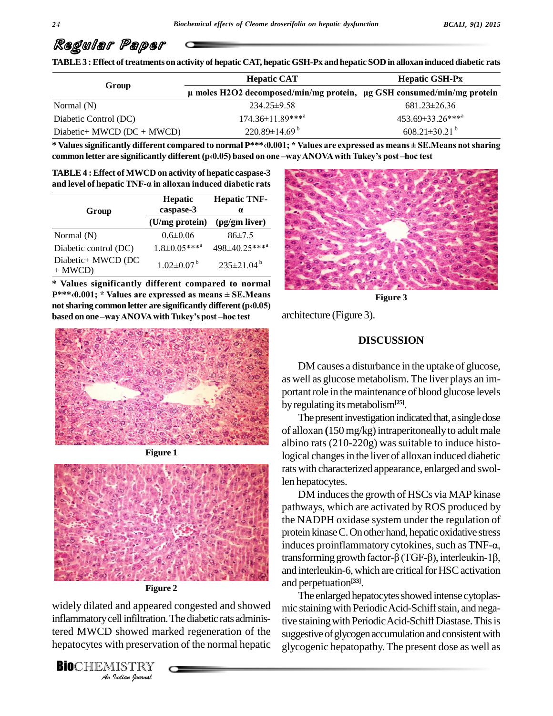TABLE 3 : Effect of treatments on activity of hepatic CAT, hepatic GSH-Px and hepatic SOD in alloxan induced diabetic rats

|                              | <b>Hepatic CAT</b>                                                              | <b>Hepatic GSH-Px</b>           |
|------------------------------|---------------------------------------------------------------------------------|---------------------------------|
| Group                        | $\mu$ moles H2O2 decomposed/min/mg protein, $\mu$ g GSH consumed/min/mg protein |                                 |
| Normal $(N)$                 | $234.25 \pm 9.58$                                                               | $681.23 \pm 26.36$              |
| Diabetic Control (DC)        | 174.36±11.89*** <sup>a</sup>                                                    | 453.69±33.26*** <sup>a</sup>    |
| Diabetic+ MWCD $(DC + MWCD)$ | $220.89 \pm 14.69^{\mathrm{b}}$                                                 | $608.21 \pm 30.21$ <sup>b</sup> |

\* Values significantly different compared to normal P\*\*\*<0.001; \* Values are expressed as means  $\pm$  SE. Means not sharing **common letter are significantly different (pã0.05) based on one ñwayANOVAwithTukeyís post ñhoc test**

and level of hepatic TNF- $\alpha$  in alloxan induced diabetic rats **TABLE4 :Effect of MWCD onactivity of hepatic caspase-3 a**<br>**and** level of hepatic TNF- $\alpha$  in alloxan induced diabetic rats

| Group                          | Hepatic<br>caspase-3           | <b>Hepatic TNF-</b><br>$\alpha$ |  |
|--------------------------------|--------------------------------|---------------------------------|--|
|                                | (U/mg protein)                 | (pg/gm liver)                   |  |
| Normal (N)                     | $0.6 \pm 0.06$                 | 86±7.5                          |  |
| Diabetic control (DC)          | $1.8 \pm 0.05***$ <sup>a</sup> | 498±40.25****                   |  |
| Diabetic+ MWCD (DC<br>$+ MWCD$ | $1.02 \pm 0.07^{\mathrm{b}}$   | $235 \pm 21.04^b$               |  |

**\* Values significantly different compared to normal P\*\*\*ã0.001; \* Values are expressed asmeans <sup>±</sup> SE.Means** \* Values significantly different compared to normal<br>P\*\*\*<0.001; \* Values are expressed as means ± SE.Means<br>not sharing common letter are significantly different (p<0.05) **p\*\*\***<0.001; \* Values are expressed as means ± SE.Mear<br>not sharing common letter are significantly different (p<0.0:<br>based on one –way ANOVA with Tukey's post –hoc test



**Figure 1**



**Figure 2**

Widely dilated and appeared congested and showed mic sta *Infiltration*<br>*Infiltration*<br>*Indian*<br>*IISTRY*<br>*<i>Indian hournal* inflammatory cell infiltration. The diabetic rats administered MWCD showed marked regeneration of the hepatocytes with preservation of the normal hepatic  $_{\text{g}}\tilde{\text{g}}_{\text{v}}$ 

**BIO**CHEMISTRY



**Figure 3**

architecture (Figure 3).

#### **DISCUSSION**

DM causes a disturbance in the uptake of glucose, as well as glucose metabolism. The liver plays an im portant role in the maintenance of blood glucose levels by regulating its metabolism<sup>[25]</sup>.

The present investigation indicated that, a single dose of alloxan (150 mg/kg) intraperitoneally to adult male albino rats  $(210-220g)$  was suitable to induce histological changes in the liver of alloxan induced diabetic ratswith characterized appearance, enlarged and swollen hepatocytes.

DM induces the growth of HSCs via MAP kinase pathways, which are activated byROS produced by the NADPH oxidase system under the regulation of<br>protein kinase C. On other hand, hepatic oxidative stress<br>induces proinflammatory cytokines, such as  $\text{TNF-}\alpha$ , protein kinase C. On other hand, hepatic oxidative stress<br>induces proinflammatory cytokines, such as TNF- $\alpha$ ,<br>transforming growth factor- $\beta$  (TGF- $\beta$ ), interleukin-1 $\beta$ , and interleukin-6, which are critical for HSC activation and perpetuation **[33]**.

The enlarged hepatocytes showed intense cytoplasmic staining with Periodic Acid-Schiff stain, and negative staining with Periodic Acid-Schiff Diastase. This is suggestive of glycogen accumulation and consistent with glycogenic hepatopathy. The present dose as well as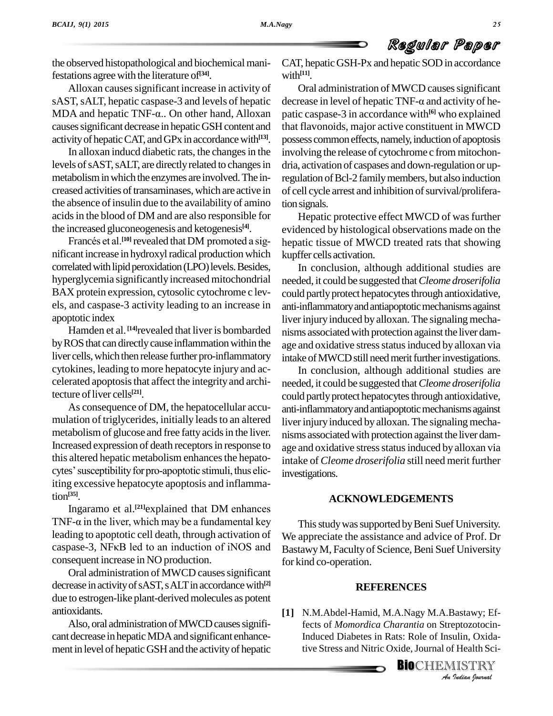the observed histopathological and biochemical manifestations agree with the literature of **[34]**.

Alloxan causes significant increase in activity of sAST, sALT, hepatic caspase-3 and levels of hepatic decrea Alloxan causes significant increase in activity of OrasAST, sALT, hepatic caspase-3 and levels of hepatic decrease MDA and hepatic TNF- $\alpha$ .. On other hand, Alloxan patic caspase. causes significant decrease in hepatic GSH content and activity of hepatic CAT, and GPx in accordance with<sup>[13]</sup>. poss

In alloxan inducd diabetic rats, the changes in the levels of sAST, sALT, are directly related to changes in metabolisminwhich the enzymes are involved.The in creased activities of transaminases, which are active in the absence of insulin due to the availability of amino acidsin the blood of DM and are also responsible for the increased gluconeogenesis and ketogenesis **[4]**. ls in the blood of DM and are also responsible for<br>increased gluconeogenesis and ketogenesis<sup>[4]</sup>. evidences et al.<sup>[10]</sup> revealed that DM promoted a sig-

nificant increase in hydroxyl radical production which correlated with lipid peroxidation (LPO) levels. Besides, hyperglycemia significantly increased mitochondrial BAX protein expression, cytosolic cytochrome c lev els, and caspase-3 activity leading to an increase in apoptotic index

Hamden et al. <sup>[14]</sup>revealed that liver is bombarded nisms a by ROS that can directly cause inflammation within the liver cells, which then release further pro-inflammatory cytokines, leading to more hepatocyte injury and ac celerated apoptosis that affect the integrity and architecture of liver cells<sup>[21]</sup>.

As consequence of DM, the hepatocellular accu mulation of triglycerides, initially leads to an altered metabolism of glucose and free fatty acids in the liver. Increased expression of death receptors in response to age and<br>this altered hepatic metabolism enhances the hepato-<br>cytes' susceptibility for pro-apoptotic stimuli, thus elic-<br>investig this altered hepatic metabolism enhances the hepatoiting excessive hepatocyte apoptosis and inflammation **[35]**. g excessive hepatocyte apoptosis and inflamma-<br><sup>[35]</sup>.<br>Ingaramo et al.<sup>[21]</sup>explained that DM enhances

tion<sup>[35]</sup>.<br>Ingaramo et al.<sup>[21]</sup>explained that DM enhances<br>TNF- $\alpha$  in the liver, which may be a fundamental key Thi leading to apoptotic cell death, through activation of TNF- $\alpha$  in the liver, which may be a fundamental key<br>leading to apoptotic cell death, through activation of We app<br>caspase-3, NF $\kappa$ B led to an induction of iNOS and Bastaw consequent increase in NO production.

Oral administration of MWCD causes significant decrease in activity of sAST, s ALT in accordance with<sup>[2]</sup> due to estrogen-like plant-derived molecules as potent antioxidants.

Also, oral administration of MWCD causes significant decrease in hepatic MDA and significant enhancement in level of hepatic GSH and the activity of hepatic CAT, hepatic GSH-Px and hepatic SOD in accordance with **[11]**.

Oral administration of MWCD causes significant decrease in level of hepatic TNF- $\alpha$  and activity of hepatic caspase-3 in accordance with **[6]** who explained that flavonoids, major active constituent in MWCD possess common effects, namely, induction of apoptosis involving the release of cytochrome c from mitochon dria, activation of caspases and down-regulation or upregulation of Bcl-2 family members, but also induction of cell cycle arrest and inhibition of survival/proliferation signals.

Hepatic protective effect MWCD of was further evidenced by histological observations made on the hepatic tissue of MWCD treated rats that showing kupffer cells activation.

In conclusion, although additional studies are needed, it could be suggested that*Cleome droserifolia* could partly protect hepatocytes through antioxidative, anti-inflammatory and antiapoptotic mechanisms against liver injury induced by alloxan. The signaling mechanisms associatedwith protection against the liver dam age and oxidative stress status induced by alloxan via intake of MWCD still need merit further investigations.

In conclusion, although additional studies are needed, it could be suggested that*Cleome droserifolia* could partly protect hepatocytes through antioxidative, anti-inflammatory and antiapoptotic mechanisms against liver injury induced by alloxan. The signaling mechanisms associatedwith protection against the liver dam age and oxidative stress status induced by alloxan via intake of *Cleome droserifolia* still need merit further investigations.

#### **ACKNOWLEDGEMENTS**

This study was supported by Beni Suef University. We appreciate the assistance and advice of Prof. Dr BastawyM, Faculty of Science, Beni Suef University for kind co-operation.

#### **REFERENCES**

*Bastawy; Ef-<br>eptozotocin-<br>ulin, Oxida-<br>IISTRY<br>Indian bournal* **[1]** N.M.Abdel-Hamid, M.A.Nagy M.A.Bastawy; Effects of *Momordica Charantia* on Streptozotocin-Induced Diabetes in Rats: Role of Insulin, Oxidative Stress and Nitric Oxide, Journal of Health Sci-

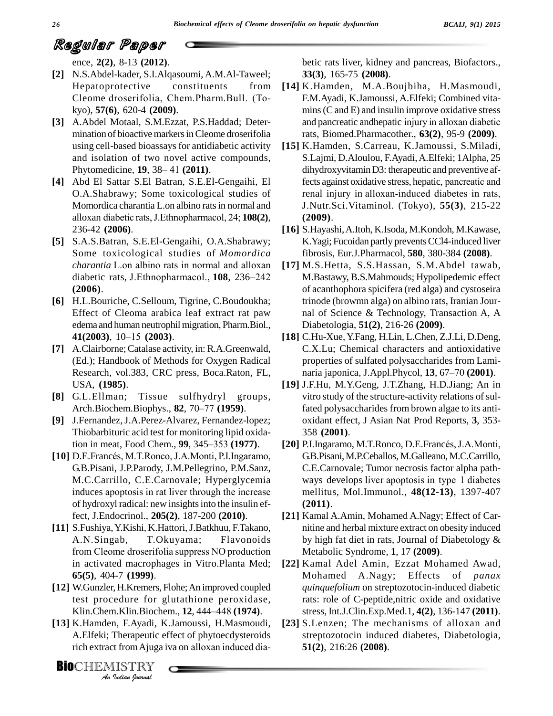ence, **2(2)**, 8-13 **(2012)**.

- **[2]** N.S.Abdel-kader, S.I.Alqasoumi, A.M.Al-Taweel; Cleome droserifolia, Chem.Pharm.Bull. (To- Hepatoprotective constituents from kyo), **57(6)**, 620-4 **(2009)**.
- **[3]** A.Abdel Motaal, S.M.Ezzat, P.S.Haddad; Deter mination of bioactive markers in Cleome droserifolia using cell-based bioassays for antidiabetic activity and isolation of two novel active compounds, using cell-based bioassays for antidiabe<br>and isolation of two novel active co<br>Phytomedicine, **19**, 38–41 (2011).
- **[4]** Abd El Sattar S.El Batran, S.E.El-Gengaihi, El O.A.Shabrawy; Some toxicological studies of alloxan diabetic rats,J.Ethnopharmacol, 24; **108(2)**, Momordica charantia L.on albino rats in normal and 236-42 **(2006)**.
- **[5]** S.A.S.Batran, S.E.El-Gengaihi, O.A.Shabrawy; Some toxicological studies of *Momordica* S.A.S.Batran, S.E.El-Gengaihi, O.A.Shabrawy;<br>Some toxicological studies of *Momordica* fi<br>*charantia* L.on albino rats in normal and alloxan [17] N Some toxicological studies of *Momordica* fi<br> *charantia* L.on albino rats in normal and alloxan [17] M<br>
diabetic rats, J.Ethnopharmacol., **108**, 236–242 M **(2006)**.
- **[6]** H.L.Bouriche, C.Selloum, Tigrine, C.Boudoukha; Effect of Cleoma arabica leaf extract rat paw nal o<br>
edema and human neutrophil migration, Pharm.Biol., Diabe<br> **41(2003)**, 10–15 **(2003)**. [18] C.Hu edema and human neutrophil migration, Pharm.Biol.,
- **[7]** A.Clairborne;Catalase activity, in: R.A.Greenwald, (Ed.); Handbook of Methods for Oxygen Radical Research, vol.383, CRC press, Boca.Raton, FL, USA, **(1985)**.
- **[8]** G.L.Ellman; Tissue sulfhydryl groups, USA, (**1985**).<br>G.L.Ellman; Tissue sulfhydryl group:<br>Arch.Biochem.Biophys., **82**, 70–77 (**1959**).
- **[9]** J.Fernandez,J.A.Perez-Alvarez, Fernandez-lopez; Thiobarbituric acid test for monitoring lipid oxida-J.Fernandez, J.A.Perez-Alvarez, Fernandez-lopez;<br>Thiobarbituric acid test for monitoring lipid oxida-<br>tion in meat, Food Chem., 99, 345–353 (1977). **[10]** D.E.Francés, M.T.Ronco, J.A.Monti, P.I.Ingaramo,
- G.B.Pisani, J.P.Parody, J.M.Pellegrino, P.M.Sanz, induces apoptosis in rat liver through the increase of hydroxyl radical: new insightsinto the insulin effect, J.Endocrinol., **205(2)**, 187-200 **(2010)**.
- **[11]** S.Fushiya,Y.Kishi, K.Hattori,J.Batkhuu, F.Takano, A.N.Singab, T.Okuyama; Flavonoids from Cleome droserifolia suppress NO production in activated macrophages in Vitro.Planta Med; **65(5)**, 404-7 **(1999)**.
- test procedure for glutathione peroxidase, **[12]** W.Gunzler, H.Kremers, Flohe; An improved coupled<br>test procedure for glutathione peroxidase, ra<br>Klin.Chem.Klin.Biochem., **12**, 444–448 **(1974)**.
- *Klin.Chem.Klin.Biochem., 12, 444–448 (1974).*<br>*K.Hamden, F.Ayadi, K.Jamoussi, H.Masmoudi, A.Elfeki; Therapeutic effect of phytoecdysteroids rich extract from Ajuga iva on alloxan induced dia-<br>CHEMISTRY* **[13]** K.Hamden, F.Ayadi, K.Jamoussi, H.Masmoudi, A.Elfeki; Therapeutic effect of phytoecdysteroids K.Hamden, F.Ayadi, K.Jamoussi, H.Masmoudi, [2]<br>A.Elfeki; Therapeutic effect of phytoecdysteroids<br>rich extract from Ajuga iva on alloxan induced dia-

betic rats liver, kidney and pancreas, Biofactors., **33(3)**, 165-75 **(2008)**.

- **[14]** K.Hamden, M.A.Boujbiha, H.Masmoudi, F.M.Ayadi, K.Jamoussi, A.Elfeki; Combined vita-<br>mins (C and E) and insulin improve oxidative stress<br>and pancreatic andhepatic injury in alloxan diabetic  $m$ ins (C and E) and insulin improve oxidative stress rats, Biomed.Pharmacother., **63(2)**, 95-9 **(2009)**.
- **[15]** K.Hamden, S.Carreau, K.Jamoussi, S.Miladi, S.Lajmi, D.Aloulou, F.Ayadi, A.Elfeki; 1Alpha, 25<br>dihydroxyvitamin D3: therapeutic and preventive af-<br>fects against oxidative stress, hepatic, pancreatic and dihydroxyvitamin D3: therapeutic and preventive affects against oxidative stress, hepatic, pancreatic and<br>renal injury in alloxan-induced diabetes in rats, J.Nutr.Sci.Vitaminol. (Tokyo), **55(3)**, 215-22 **(2009)**.
- **[16]** S.Hayashi,A.Itoh, K.Isoda, M.Kondoh, M.Kawase, K. Yagi; Fucoidan partly prevents CCl4-induced liver fibrosis, Eur.J.Pharmacol, **580**, 380-384 **(2008)**.
- **[17]** M.S.Hetta, S.S.Hassan, S.M.Abdel tawab, M.Bastawy, B.S.Mahmouds; Hypolipedemic effect of acanthophora spicifera (red alga) and cystoseira trinode (browmn alga) on albino rats, Iranian Jour nal of Science & Technology, Transaction A, A Diabetologia, **51(2)**, 216-26 **(2009)**.
- **[18]** C.Hu-Xue,Y.Fang, H.Lin, L.Chen, Z.J.Li, D.Deng, C.X.Lu; Chemical characters and antioxidative properties of sulfated polysaccharides from Lami naria japonica, J.Appl.Phycol, **13**, 67–70 **(2001)**.
- **[19]** J.F.Hu, M.Y.Geng, J.T.Zhang, H.D.Jiang; An in vitro study of the structure-activity relations of sulfated polysaccharides from brown algae to its anti oxidant effect, J Asian Nat Prod Reports, **3**, 353- 358 **(2001)**.
- M.C.Carrillo, C.E.Carnovale; Hyperglycemia [20] P.I.Ingaramo, M.T.Ronco, D.E.Francés, J.A.Monti, G.B.Pisani, M.P.Ceballos, M.Galleano, M.C.Carrillo,<br>C.E.Carnovale; Tumor necrosis factor alpha path-<br>ways develops liver apoptosis in type 1 diabetes C.E.Carnovale; Tumor necrosis factor alpha path mellitus, Mol.Immunol., **48(12-13)**, 1397-407 **(2011)**.
	- **[21]** Kamal A.Amin, Mohamed A.Nagy; Effect of Car nitine and herbal mixture extract on obesity induced by high fat diet in rats, Journal of Diabetology & Metabolic Syndrome, **1**, 17 **(2009)**.
	- **[22]** Kamal Adel Amin, Ezzat Mohamed Awad, Mohamed A.Nagy; Effects of *panax quinquefolium* on streptozotocin-induced diabetic rats: role of C-peptide,nitric oxide and oxidative stress, Int.J.Clin.Exp.Med.1, **4(2)**, 136-147 **(2011)**.
	- **[23]** S.Lenzen; The mechanisms of alloxan and streptozotocin induced diabetes, Diabetologia, **51(2)**, 216:26 **(2008)**.

**BIOCHEMISTRY**